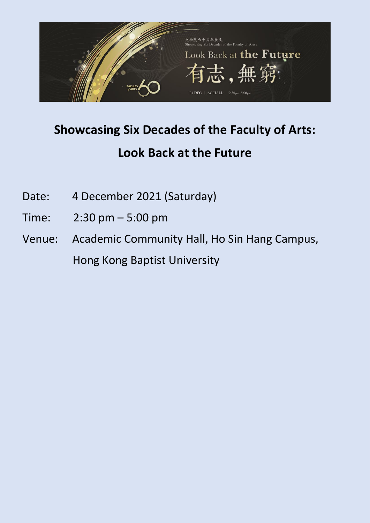

# **Showcasing Six Decades of the Faculty of Arts: Look Back at the Future**

- Date: 4 December 2021 (Saturday)
- Time: 2:30 pm 5:00 pm
- Venue: Academic Community Hall, Ho Sin Hang Campus, Hong Kong Baptist University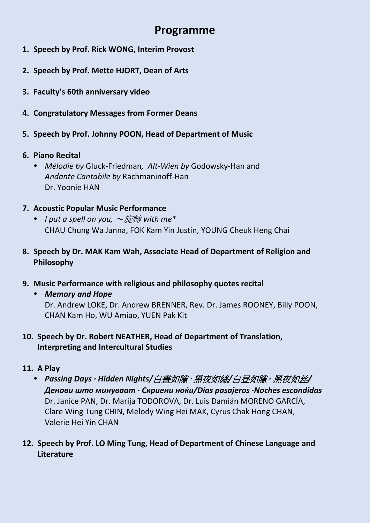# **Programme**

- **1. Speech by Prof. Rick WONG, Interim Provost**
- **2. Speech by Prof. Mette HJORT, Dean of Arts**
- **3. Faculty's 60th anniversary video**
- **4. Congratulatory Messages from Former Deans**
- **5. Speech by Prof. Johnny POON, Head of Department of Music**
- **6. Piano Recital** 
	- *Mélodie by* Gluck-Friedman*, Alt-Wien by* Godowsky-Han and *Andante Cantabile by* Rachmaninoff-Han Dr. Yoonie HAN
- **7. Acoustic Popular Music Performance** 
	- *I put a spell on you,* ~旋轉 *with me\** CHAU Chung Wa Janna, FOK Kam Yin Justin, YOUNG Cheuk Heng Chai
- **8. Speech by Dr. MAK Kam Wah, Associate Head of Department of Religion and Philosophy**
- **9. Music Performance with religious and philosophy quotes recital**
	- *Memory and Hope*

Dr. Andrew LOKE, Dr. Andrew BRENNER, Rev. Dr. James ROONEY, Billy POON, CHAN Kam Ho, WU Amiao, YUEN Pak Kit

## **10. Speech by Dr. Robert NEATHER, Head of Department of Translation, Interpreting and Intercultural Studies**

- **11. A Play** 
	- *Passing Days · Hidden Nights/*白晝如隙 · 黑夜如絲*/*白昼如隙 *·* 黑夜如丝*/ Денови што минуваат · Скриени ноќи/Días pasajeros ·Noches escondidas* Dr. Janice PAN, Dr. Marija TODOROVA, Dr. Luis Damián MORENO GARCÍA, Clare Wing Tung CHIN, Melody Wing Hei MAK, Cyrus Chak Hong CHAN, Valerie Hei Yin CHAN
- **12. Speech by Prof. LO Ming Tung, Head of Department of Chinese Language and Literature**